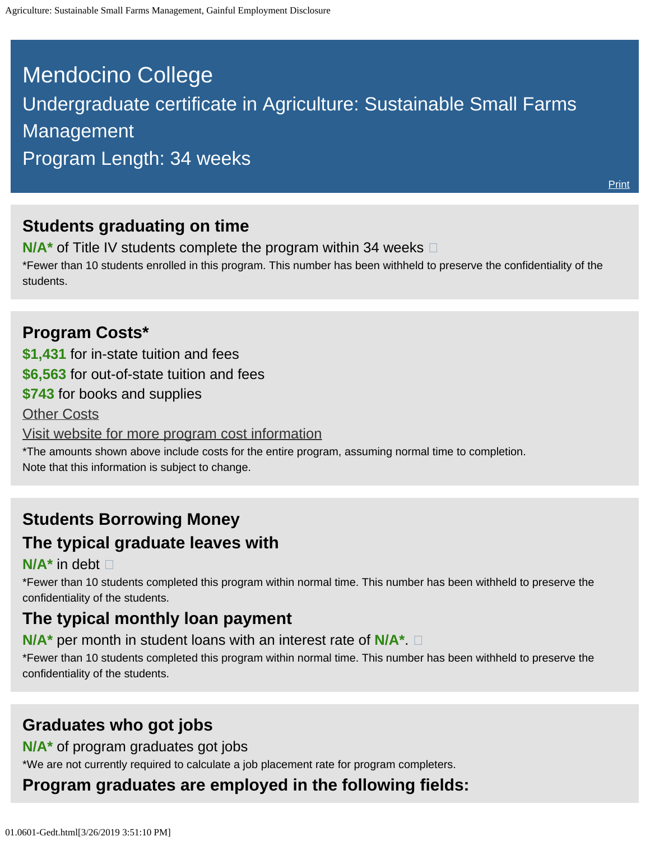# <span id="page-0-0"></span>Mendocino College Undergraduate certificate in Agriculture: Sustainable Small Farms Management Program Length: 34 weeks

**[Print](file:///C|/Users/ilopez/Desktop/01.0601-GedtPrint.html)** 

### **Students graduating on time**

**N/A<sup>\*</sup>** of Title IV students complete the program within 34 weeks  $\Box$ 

\*Fewer than 10 students enrolled in this program. This number has been withheld to preserve the confidentiality of the students.

#### **Program Costs\***

**\$1,431** for in-state tuition and fees

**\$6,563** for out-of-state tuition and fees

**\$743** for books and supplies

**[Other Costs](#page-0-0)** 

[Visit website for more program cost information](https://www.mendocino.edu/program/agriculture-sustainable-small-farms-management)

\*The amounts shown above include costs for the entire program, assuming normal time to completion. Note that this information is subject to change.

### **Students Borrowing Money**

#### **The typical graduate leaves with**

#### **N/A\*** in debt

\*Fewer than 10 students completed this program within normal time. This number has been withheld to preserve the confidentiality of the students.

### **The typical monthly loan payment**

#### **N/A\*** per month in student loans with an interest rate of **N/A\***.

\*Fewer than 10 students completed this program within normal time. This number has been withheld to preserve the confidentiality of the students.

## **Graduates who got jobs**

#### **N/A\*** of program graduates got jobs

\*We are not currently required to calculate a job placement rate for program completers.

# **Program graduates are employed in the following fields:**